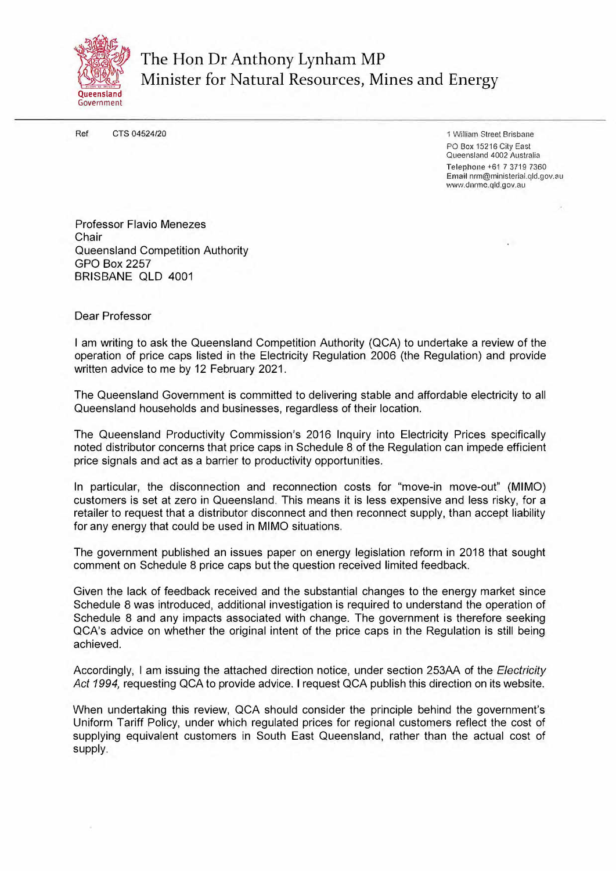

The Hon Dr Anthony Lynham MP Minister for Natural Resources, Mines and Energy

Ref CTS 04524/20

1 William Street Brisbane PO Box 15216 City East Queensland 4002 Australia Telephone +61 7 3719 7360 Email nrrn@minislerial.qld.gov.au ·www.dnrrne.qld.gov.au

Professor Flavio Menezes Chair Queensland Competition Authority GPO Box 2257 BRISBANE QLD 4001

#### Dear Professor

I am writing to ask the Queensland Competition Authority (QCA) to undertake a review of the operation of price caps listed in the Electricity Regulation 2006 (the Regulation) and provide written advice to me by 12 February 2021.

The Queensland Government is committed to delivering stable and affordable electricity to all Queensland households and businesses, regardless of their location.

The Queensland Productivity Commission's 2016 Inquiry into Electricity Prices specifically noted distributor concerns that price caps in Schedule 8 of the Regulation can impede efficient price signals and act as a barrier to productivity opportunities.

In particular, the disconnection and reconnection costs for "move-in move-out" (MIMO) customers is set at zero in Queensland. This means it is less expensive and less risky, for a retailer to request that a distributor disconnect and then reconnect supply, than accept liability for any energy that could be used in MIMO situations.

The government published an issues paper on energy legislation reform in 2018 that sought comment on Schedule 8 price caps but the question received limited feedback.

Given the lack of feedback received and the substantial changes to the energy market since Schedule 8 was introduced, additional investigation is required to understand the operation of Schedule 8 and any impacts associated with change. The government is therefore seeking QCA's advice on whether the original intent of the price caps in the Regulation is still being achieved.

Accordingly, I am issuing the attached direction notice, under section 253AA of the *Electricity Act 1994,* requesting QCA to provide advice. I request QCA publish this direction on its website.

When undertaking this review, QCA should consider the principle behind the government's Uniform Tariff Policy, under which regulated prices for regional customers reflect the cost of supplying equivalent customers in South East Queensland, rather than the actual cost of supply.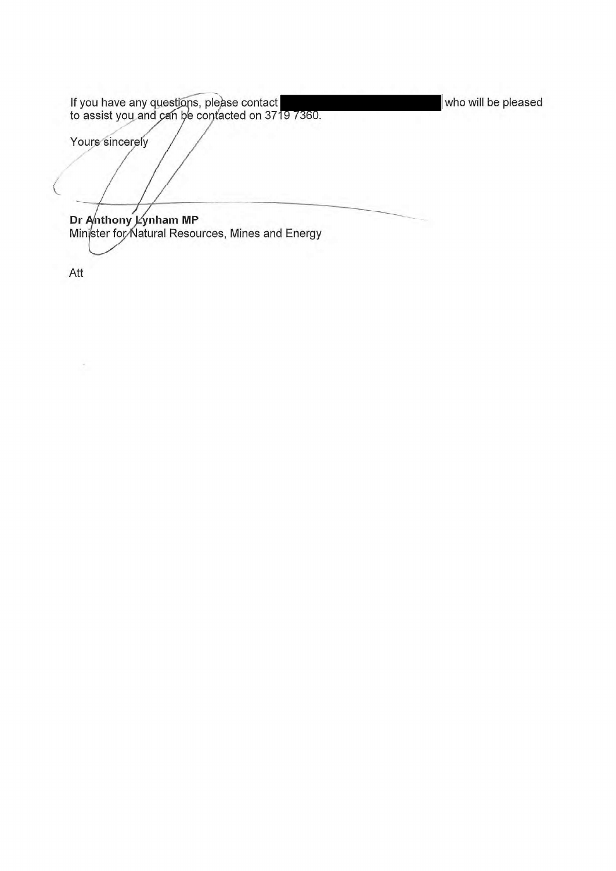If you have any questions, please contact who will be pleased to assist you and can be contacted on 3719 7360. Yours sincerely  $\overline{C}$ **Dr Anthony liynham MR** Minister for-Natural Resources, Mines and Energy

Att

 $\cdot$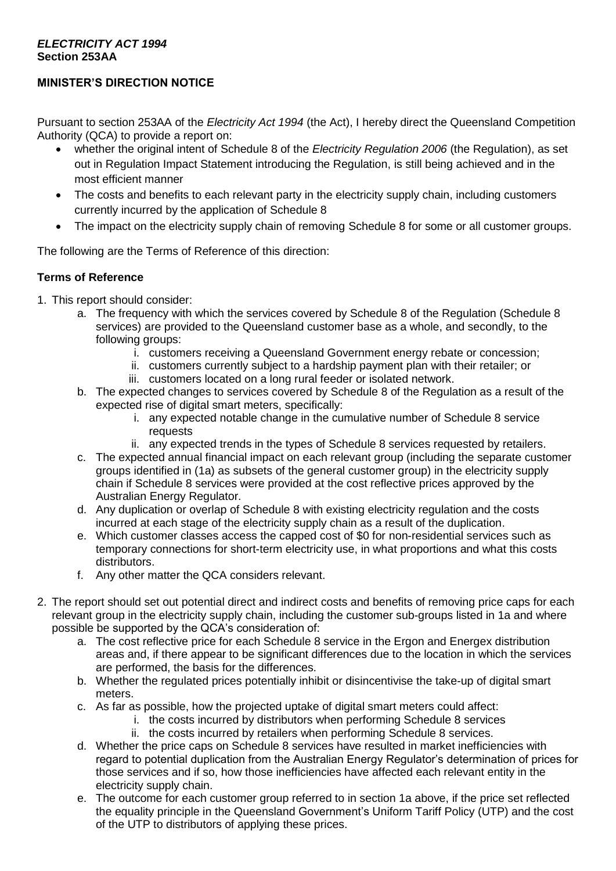### *ELECTRICITY ACT 1994*  **Section 253AA**

# **MINISTER'S DIRECTION NOTICE**

Pursuant to section 253AA of the *Electricity Act 1994* (the Act), I hereby direct the Queensland Competition Authority (QCA) to provide a report on:

- whether the original intent of Schedule 8 of the *Electricity Regulation 2006* (the Regulation), as set out in Regulation Impact Statement introducing the Regulation, is still being achieved and in the most efficient manner
- The costs and benefits to each relevant party in the electricity supply chain, including customers currently incurred by the application of Schedule 8
- The impact on the electricity supply chain of removing Schedule 8 for some or all customer groups.

The following are the Terms of Reference of this direction:

## **Terms of Reference**

- 1. This report should consider:
	- a. The frequency with which the services covered by Schedule 8 of the Regulation (Schedule 8 services) are provided to the Queensland customer base as a whole, and secondly, to the following groups:
		- i. customers receiving a Queensland Government energy rebate or concession;
		- ii. customers currently subject to a hardship payment plan with their retailer; or
		- iii. customers located on a long rural feeder or isolated network.
	- b. The expected changes to services covered by Schedule 8 of the Regulation as a result of the expected rise of digital smart meters, specifically:
		- i. any expected notable change in the cumulative number of Schedule 8 service requests
		- ii. any expected trends in the types of Schedule 8 services requested by retailers.
	- c. The expected annual financial impact on each relevant group (including the separate customer groups identified in (1a) as subsets of the general customer group) in the electricity supply chain if Schedule 8 services were provided at the cost reflective prices approved by the Australian Energy Regulator.
	- d. Any duplication or overlap of Schedule 8 with existing electricity regulation and the costs incurred at each stage of the electricity supply chain as a result of the duplication.
	- e. Which customer classes access the capped cost of \$0 for non-residential services such as temporary connections for short-term electricity use, in what proportions and what this costs distributors.
	- f. Any other matter the QCA considers relevant.
- 2. The report should set out potential direct and indirect costs and benefits of removing price caps for each relevant group in the electricity supply chain, including the customer sub-groups listed in 1a and where possible be supported by the QCA's consideration of:
	- a. The cost reflective price for each Schedule 8 service in the Ergon and Energex distribution areas and, if there appear to be significant differences due to the location in which the services are performed, the basis for the differences.
	- b. Whether the regulated prices potentially inhibit or disincentivise the take-up of digital smart meters.
	- c. As far as possible, how the projected uptake of digital smart meters could affect:
		- i. the costs incurred by distributors when performing Schedule 8 services
			- ii. the costs incurred by retailers when performing Schedule 8 services.
	- d. Whether the price caps on Schedule 8 services have resulted in market inefficiencies with regard to potential duplication from the Australian Energy Regulator's determination of prices for those services and if so, how those inefficiencies have affected each relevant entity in the electricity supply chain.
	- e. The outcome for each customer group referred to in section 1a above, if the price set reflected the equality principle in the Queensland Government's Uniform Tariff Policy (UTP) and the cost of the UTP to distributors of applying these prices.